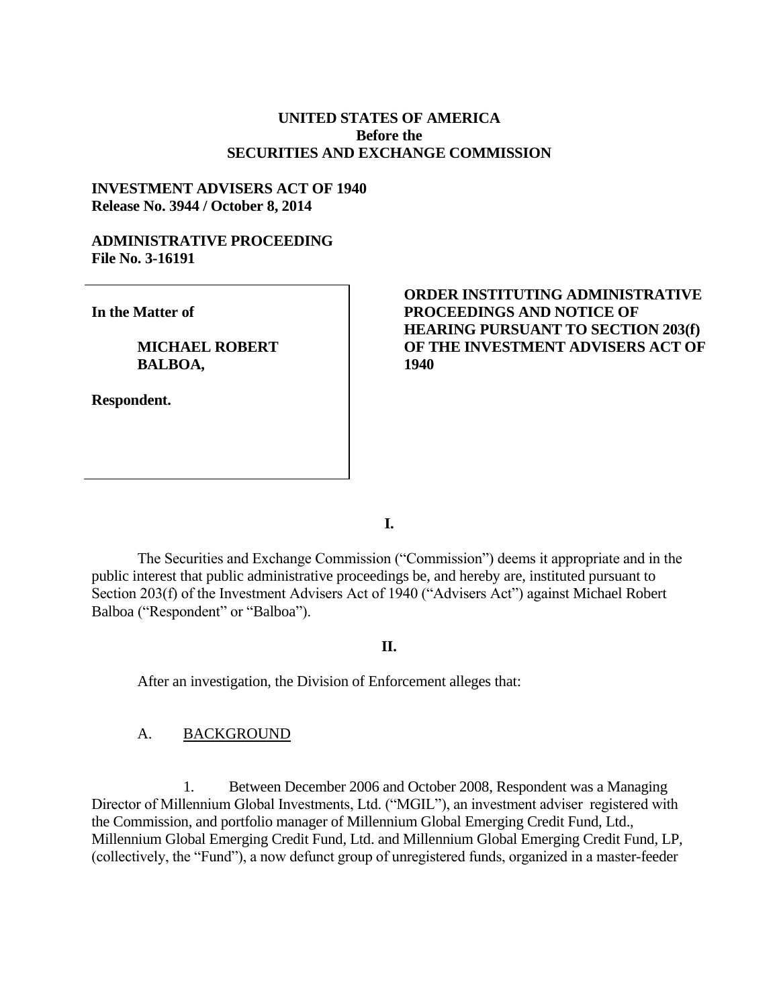## **UNITED STATES OF AMERICA Before the SECURITIES AND EXCHANGE COMMISSION**

### **INVESTMENT ADVISERS ACT OF 1940 Release No. 3944 / October 8, 2014**

# **ADMINISTRATIVE PROCEEDING File No. 3-16191**

**In the Matter of**

**MICHAEL ROBERT BALBOA,** 

**Respondent.**

# **ORDER INSTITUTING ADMINISTRATIVE PROCEEDINGS AND NOTICE OF HEARING PURSUANT TO SECTION 203(f) OF THE INVESTMENT ADVISERS ACT OF 1940**

**I.**

The Securities and Exchange Commission ("Commission") deems it appropriate and in the public interest that public administrative proceedings be, and hereby are, instituted pursuant to Section 203(f) of the Investment Advisers Act of 1940 ("Advisers Act") against Michael Robert Balboa ("Respondent" or "Balboa").

# **II.**

After an investigation, the Division of Enforcement alleges that:

#### A. BACKGROUND

1. Between December 2006 and October 2008, Respondent was a Managing Director of Millennium Global Investments, Ltd. ("MGIL"), an investment adviser registered with the Commission, and portfolio manager of Millennium Global Emerging Credit Fund, Ltd., Millennium Global Emerging Credit Fund, Ltd. and Millennium Global Emerging Credit Fund, LP, (collectively, the "Fund"), a now defunct group of unregistered funds, organized in a master-feeder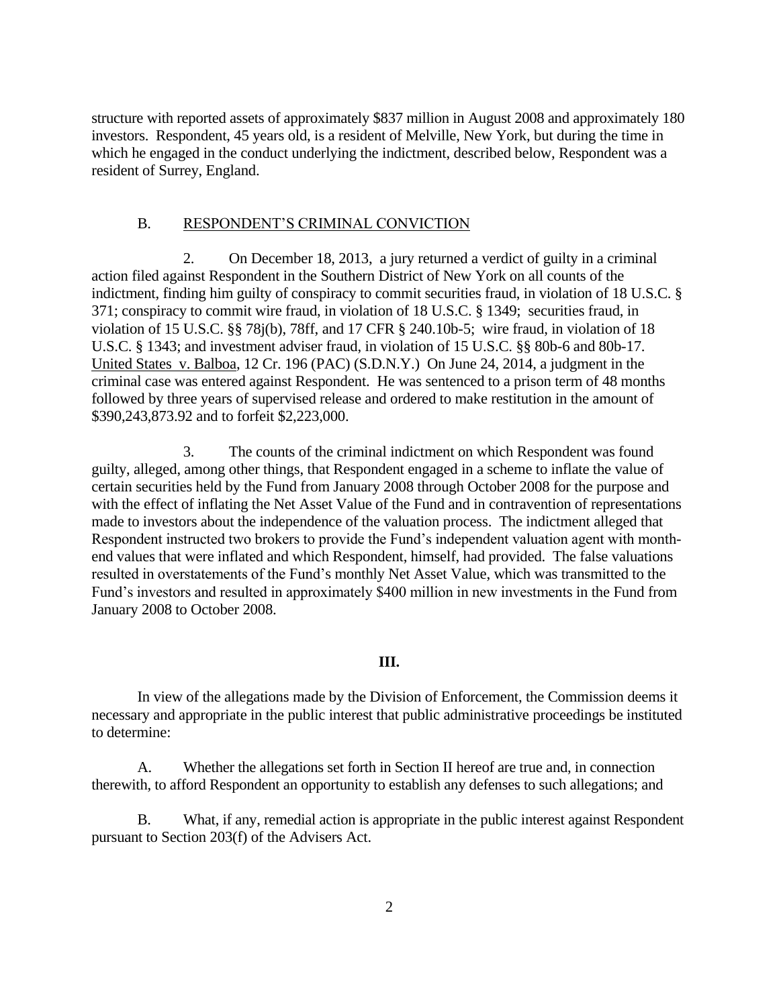structure with reported assets of approximately \$837 million in August 2008 and approximately 180 investors. Respondent, 45 years old, is a resident of Melville, New York, but during the time in which he engaged in the conduct underlying the indictment, described below, Respondent was a resident of Surrey, England.

#### B. RESPONDENT'S CRIMINAL CONVICTION

2. On December 18, 2013, a jury returned a verdict of guilty in a criminal action filed against Respondent in the Southern District of New York on all counts of the indictment, finding him guilty of conspiracy to commit securities fraud, in violation of 18 U.S.C. § 371; conspiracy to commit wire fraud, in violation of 18 U.S.C. § 1349; securities fraud, in violation of 15 U.S.C. §§ 78j(b), 78ff, and 17 CFR § 240.10b-5; wire fraud, in violation of 18 U.S.C. § 1343; and investment adviser fraud, in violation of 15 U.S.C. §§ 80b-6 and 80b-17. United States v. Balboa, 12 Cr. 196 (PAC) (S.D.N.Y.) On June 24, 2014, a judgment in the criminal case was entered against Respondent. He was sentenced to a prison term of 48 months followed by three years of supervised release and ordered to make restitution in the amount of \$390,243,873.92 and to forfeit \$2,223,000.

3. The counts of the criminal indictment on which Respondent was found guilty, alleged, among other things, that Respondent engaged in a scheme to inflate the value of certain securities held by the Fund from January 2008 through October 2008 for the purpose and with the effect of inflating the Net Asset Value of the Fund and in contravention of representations made to investors about the independence of the valuation process. The indictment alleged that Respondent instructed two brokers to provide the Fund's independent valuation agent with monthend values that were inflated and which Respondent, himself, had provided. The false valuations resulted in overstatements of the Fund's monthly Net Asset Value, which was transmitted to the Fund's investors and resulted in approximately \$400 million in new investments in the Fund from January 2008 to October 2008.

#### **III.**

In view of the allegations made by the Division of Enforcement, the Commission deems it necessary and appropriate in the public interest that public administrative proceedings be instituted to determine:

A. Whether the allegations set forth in Section II hereof are true and, in connection therewith, to afford Respondent an opportunity to establish any defenses to such allegations; and

B. What, if any, remedial action is appropriate in the public interest against Respondent pursuant to Section 203(f) of the Advisers Act.